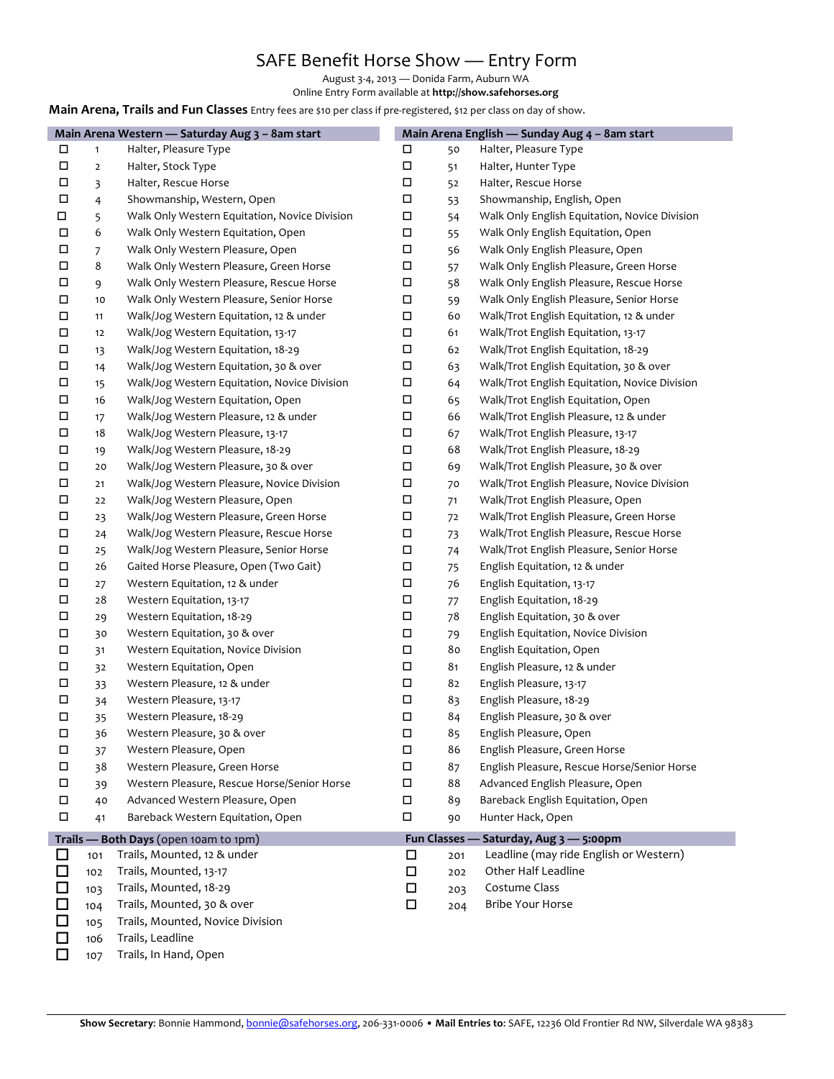## SAFE Benefit Horse Show — Entry Form

August 3-4, 2013 — Donida Farm, Auburn WA

Online Entry Form available at **http://show.safehorses.org** 

**Main Arena, Trails and Fun Classes** Entry fees are \$10 per class if pre-registered, \$12 per class on day of show.

|        |                | Main Arena Western - Saturday Aug 3 - 8am start | Main Arena English - Sunday Aug 4 - 8am start |     |                                               |
|--------|----------------|-------------------------------------------------|-----------------------------------------------|-----|-----------------------------------------------|
| П      | $\mathbf{1}$   | Halter, Pleasure Type                           | П                                             | 50  | Halter, Pleasure Type                         |
| П      | $\mathbf 2$    | Halter, Stock Type                              | $\Box$                                        | 51  | Halter, Hunter Type                           |
| П      | 3              | Halter, Rescue Horse                            | $\Box$                                        | 52  | Halter, Rescue Horse                          |
| П      | $\overline{4}$ | Showmanship, Western, Open                      | П                                             | 53  | Showmanship, English, Open                    |
| □      | 5              | Walk Only Western Equitation, Novice Division   | Д                                             | 54  | Walk Only English Equitation, Novice Division |
| П      | 6              | Walk Only Western Equitation, Open              | Д                                             | 55  | Walk Only English Equitation, Open            |
| П      | 7              | Walk Only Western Pleasure, Open                | Д                                             | 56  | Walk Only English Pleasure, Open              |
| $\Box$ | 8              | Walk Only Western Pleasure, Green Horse         | Д                                             | 57  | Walk Only English Pleasure, Green Horse       |
| П      | 9              | Walk Only Western Pleasure, Rescue Horse        | П                                             | 58  | Walk Only English Pleasure, Rescue Horse      |
| $\Box$ | 10             | Walk Only Western Pleasure, Senior Horse        | П                                             | 59  | Walk Only English Pleasure, Senior Horse      |
| $\Box$ | 11             | Walk/Jog Western Equitation, 12 & under         | $\Box$                                        | 60  | Walk/Trot English Equitation, 12 & under      |
| П      | 12             | Walk/Jog Western Equitation, 13-17              | □                                             | 61  | Walk/Trot English Equitation, 13-17           |
| $\Box$ | 13             | Walk/Jog Western Equitation, 18-29              | П                                             | 62  | Walk/Trot English Equitation, 18-29           |
| $\Box$ | 14             | Walk/Jog Western Equitation, 30 & over          | П                                             | 63  | Walk/Trot English Equitation, 30 & over       |
| $\Box$ | 15             | Walk/Jog Western Equitation, Novice Division    | П                                             | 64  | Walk/Trot English Equitation, Novice Division |
| $\Box$ | 16             | Walk/Jog Western Equitation, Open               | Д                                             | 65  | Walk/Trot English Equitation, Open            |
| $\Box$ | 17             | Walk/Jog Western Pleasure, 12 & under           | Д                                             | 66  | Walk/Trot English Pleasure, 12 & under        |
| $\Box$ | 18             | Walk/Jog Western Pleasure, 13-17                | Д                                             | 67  | Walk/Trot English Pleasure, 13-17             |
| $\Box$ | 19             | Walk/Jog Western Pleasure, 18-29                | Д                                             | 68  | Walk/Trot English Pleasure, 18-29             |
| $\Box$ | 20             | Walk/Jog Western Pleasure, 30 & over            | Д                                             | 69  | Walk/Trot English Pleasure, 30 & over         |
| $\Box$ | 21             | Walk/Jog Western Pleasure, Novice Division      | Д                                             | 70  | Walk/Trot English Pleasure, Novice Division   |
| $\Box$ | 22             | Walk/Jog Western Pleasure, Open                 | П                                             | 71  | Walk/Trot English Pleasure, Open              |
| $\Box$ | 23             | Walk/Jog Western Pleasure, Green Horse          | Д                                             | 72  | Walk/Trot English Pleasure, Green Horse       |
| П      | 24             | Walk/Jog Western Pleasure, Rescue Horse         | П                                             | 73  | Walk/Trot English Pleasure, Rescue Horse      |
| $\Box$ | 25             | Walk/Jog Western Pleasure, Senior Horse         | $\Box$                                        | 74  | Walk/Trot English Pleasure, Senior Horse      |
| $\Box$ | 26             | Gaited Horse Pleasure, Open (Two Gait)          | П                                             | 75  | English Equitation, 12 & under                |
| П      | 27             | Western Equitation, 12 & under                  | П                                             | 76  | English Equitation, 13-17                     |
| $\Box$ | 28             | Western Equitation, 13-17                       | $\Box$                                        | 77  | English Equitation, 18-29                     |
| П      | 29             | Western Equitation, 18-29                       | $\Box$                                        | 78  | English Equitation, 30 & over                 |
| $\Box$ | 30             | Western Equitation, 30 & over                   | Д                                             | 79  | English Equitation, Novice Division           |
| $\Box$ | 31             | Western Equitation, Novice Division             | П                                             | 80  | English Equitation, Open                      |
| $\Box$ | 32             | Western Equitation, Open                        | П                                             | 81  | English Pleasure, 12 & under                  |
| $\Box$ | 33             | Western Pleasure, 12 & under                    | $\Box$                                        | 82  | English Pleasure, 13-17                       |
| $\Box$ | 34             | Western Pleasure, 13-17                         | П                                             | 83  | English Pleasure, 18-29                       |
| $\Box$ | 35             | Western Pleasure, 18-29                         | $\Box$                                        | 84  | English Pleasure, 30 & over                   |
| $\Box$ | 36             | Western Pleasure, 30 & over                     | $\Box$                                        | 85  | English Pleasure, Open                        |
| П      | 37             | Western Pleasure, Open                          | П                                             | 86  | English Pleasure, Green Horse                 |
| $\Box$ | 38             | Western Pleasure, Green Horse                   | $\Box$                                        | 87  | English Pleasure, Rescue Horse/Senior Horse   |
| П      | 39             | Western Pleasure, Rescue Horse/Senior Horse     | П                                             | 88  | Advanced English Pleasure, Open               |
| $\Box$ | 40             | Advanced Western Pleasure, Open                 | П                                             | 89  | Bareback English Equitation, Open             |
| $\Box$ | 41             | Bareback Western Equitation, Open               | П                                             | 90  | Hunter Hack, Open                             |
|        |                | Trails - Both Days (open 10am to 1pm)           |                                               |     | Fun Classes - Saturday, Aug 3 - 5:00pm        |
| □      | 101            | Trails, Mounted, 12 & under                     | □                                             | 201 | Leadline (may ride English or Western)        |
| $\Box$ | 102            | Trails, Mounted, 13-17                          | $\Box$                                        | 202 | Other Half Leadline                           |
| $\Box$ | 103            | Trails, Mounted, 18-29                          | □                                             | 203 | Costume Class                                 |
| $\Box$ | 104            | Trails, Mounted, 30 & over                      | $\Box$                                        | 204 | Bribe Your Horse                              |
| $\Box$ | 105            | Trails, Mounted, Novice Division                |                                               |     |                                               |
| □      | 106            | Trails, Leadline                                |                                               |     |                                               |
| □      | 107            | Trails, In Hand, Open                           |                                               |     |                                               |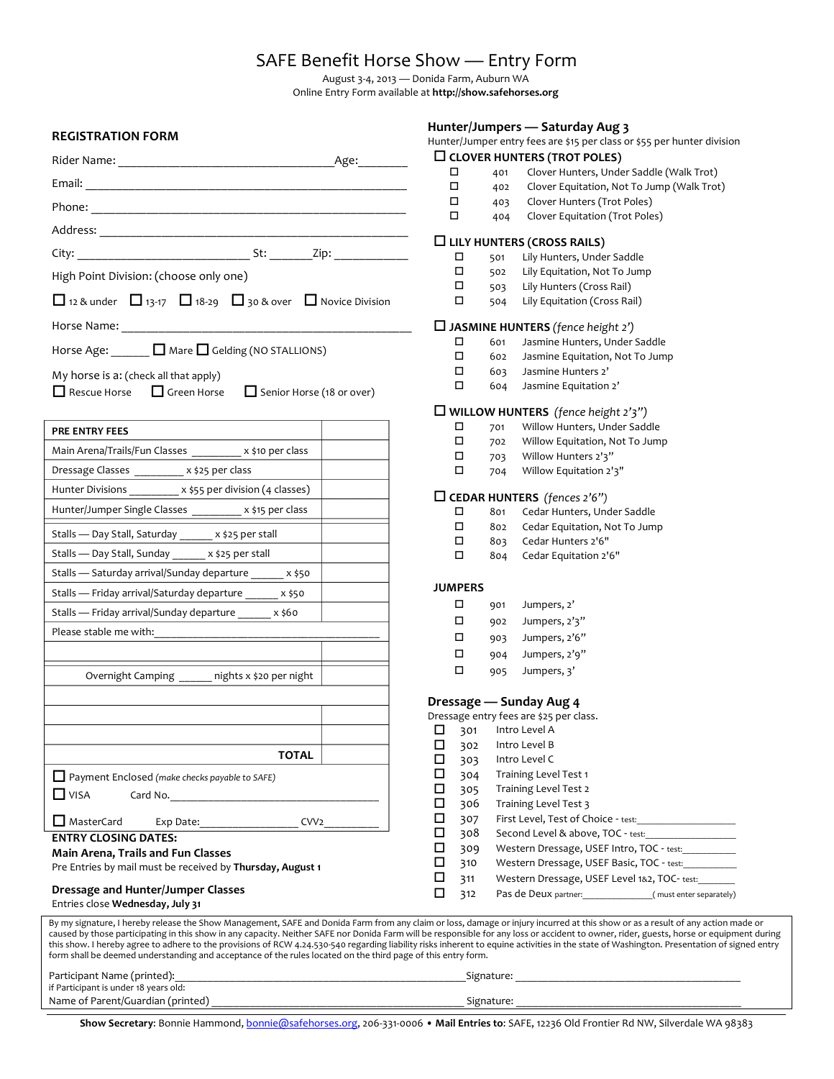## SAFE Benefit Horse Show — Entry Form

August 3-4, 2013 — Donida Farm, Auburn WA Online Entry Form available at http://show.safehorses.org

|                                                                                                              | Hunter/Jumpers - Saturday Aug 3                                                                                                                                                                                                                                                                                                                                                                                                                                                                                                                                           |  |  |  |
|--------------------------------------------------------------------------------------------------------------|---------------------------------------------------------------------------------------------------------------------------------------------------------------------------------------------------------------------------------------------------------------------------------------------------------------------------------------------------------------------------------------------------------------------------------------------------------------------------------------------------------------------------------------------------------------------------|--|--|--|
| <b>REGISTRATION FORM</b>                                                                                     | Hunter/Jumper entry fees are \$15 per class or \$55 per hunter division                                                                                                                                                                                                                                                                                                                                                                                                                                                                                                   |  |  |  |
|                                                                                                              | $\square$ CLOVER HUNTERS (TROT POLES)                                                                                                                                                                                                                                                                                                                                                                                                                                                                                                                                     |  |  |  |
|                                                                                                              | Clover Hunters, Under Saddle (Walk Trot)<br>□<br>401                                                                                                                                                                                                                                                                                                                                                                                                                                                                                                                      |  |  |  |
|                                                                                                              | $\Box$<br>Clover Equitation, Not To Jump (Walk Trot)<br>402                                                                                                                                                                                                                                                                                                                                                                                                                                                                                                               |  |  |  |
|                                                                                                              | П<br>Clover Hunters (Trot Poles)<br>403                                                                                                                                                                                                                                                                                                                                                                                                                                                                                                                                   |  |  |  |
|                                                                                                              | □<br>Clover Equitation (Trot Poles)<br>404                                                                                                                                                                                                                                                                                                                                                                                                                                                                                                                                |  |  |  |
|                                                                                                              | $\Box$ LILY HUNTERS (CROSS RAILS)                                                                                                                                                                                                                                                                                                                                                                                                                                                                                                                                         |  |  |  |
|                                                                                                              | $\Box$<br>501<br>Lily Hunters, Under Saddle                                                                                                                                                                                                                                                                                                                                                                                                                                                                                                                               |  |  |  |
| High Point Division: (choose only one)                                                                       | $\Box$<br>Lily Equitation, Not To Jump<br>502                                                                                                                                                                                                                                                                                                                                                                                                                                                                                                                             |  |  |  |
| □ 12 & under □ 13-17 □ 18-29 □ 30 & over □ Novice Division                                                   | $\Box$<br>503<br>Lily Hunters (Cross Rail)<br>$\Box$<br>Lily Equitation (Cross Rail)<br>504                                                                                                                                                                                                                                                                                                                                                                                                                                                                               |  |  |  |
|                                                                                                              |                                                                                                                                                                                                                                                                                                                                                                                                                                                                                                                                                                           |  |  |  |
|                                                                                                              | $\Box$ JASMINE HUNTERS (fence height 2')<br>□<br>Jasmine Hunters, Under Saddle<br>601                                                                                                                                                                                                                                                                                                                                                                                                                                                                                     |  |  |  |
| Horse Age: <u>January D</u> Mare D Gelding (NO STALLIONS)                                                    | $\Box$<br>Jasmine Equitation, Not To Jump<br>602                                                                                                                                                                                                                                                                                                                                                                                                                                                                                                                          |  |  |  |
|                                                                                                              | □<br>Jasmine Hunters 2'<br>603                                                                                                                                                                                                                                                                                                                                                                                                                                                                                                                                            |  |  |  |
| My horse is a: (check all that apply)                                                                        | □<br>Jasmine Equitation 2'<br>604                                                                                                                                                                                                                                                                                                                                                                                                                                                                                                                                         |  |  |  |
| Rescue Horse <b>Q</b> Green Horse<br>Senior Horse (18 or over)                                               |                                                                                                                                                                                                                                                                                                                                                                                                                                                                                                                                                                           |  |  |  |
|                                                                                                              | $\Box$ WILLOW HUNTERS (fence height $2'3''$ )                                                                                                                                                                                                                                                                                                                                                                                                                                                                                                                             |  |  |  |
| PRE ENTRY FEES                                                                                               | $\Box$<br>Willow Hunters, Under Saddle<br>701<br>$\Box$                                                                                                                                                                                                                                                                                                                                                                                                                                                                                                                   |  |  |  |
| Main Arena/Trails/Fun Classes _________ x \$10 per class                                                     | Willow Equitation, Not To Jump<br>702<br>П<br>Willow Hunters 2'3"                                                                                                                                                                                                                                                                                                                                                                                                                                                                                                         |  |  |  |
| Dressage Classes __________ x \$25 per class                                                                 | 703<br>$\Box$<br>Willow Equitation 2'3"<br>704                                                                                                                                                                                                                                                                                                                                                                                                                                                                                                                            |  |  |  |
| Hunter Divisions __________ x \$55 per division (4 classes)                                                  |                                                                                                                                                                                                                                                                                                                                                                                                                                                                                                                                                                           |  |  |  |
|                                                                                                              | $\Box$ CEDAR HUNTERS (fences 2'6")                                                                                                                                                                                                                                                                                                                                                                                                                                                                                                                                        |  |  |  |
| Hunter/Jumper Single Classes _________ x \$15 per class                                                      | П<br>801<br>Cedar Hunters, Under Saddle                                                                                                                                                                                                                                                                                                                                                                                                                                                                                                                                   |  |  |  |
| Stalls - Day Stall, Saturday ______ x \$25 per stall                                                         | $\Box$<br>Cedar Equitation, Not To Jump<br>802                                                                                                                                                                                                                                                                                                                                                                                                                                                                                                                            |  |  |  |
| Stalls - Day Stall, Sunday ______ x \$25 per stall                                                           | □<br>Cedar Hunters 2'6"<br>803                                                                                                                                                                                                                                                                                                                                                                                                                                                                                                                                            |  |  |  |
|                                                                                                              | □<br>Cedar Equitation 2'6"<br>804                                                                                                                                                                                                                                                                                                                                                                                                                                                                                                                                         |  |  |  |
| Stalls - Saturday arrival/Sunday departure ______ x \$50                                                     | <b>JUMPERS</b>                                                                                                                                                                                                                                                                                                                                                                                                                                                                                                                                                            |  |  |  |
| Stalls - Friday arrival/Saturday departure ______ x \$50                                                     | П<br>Jumpers, 2'<br>901                                                                                                                                                                                                                                                                                                                                                                                                                                                                                                                                                   |  |  |  |
| Stalls - Friday arrival/Sunday departure x \$60                                                              | П<br>Jumpers, 2'3"<br>902                                                                                                                                                                                                                                                                                                                                                                                                                                                                                                                                                 |  |  |  |
| Please stable me with:                                                                                       | Jumpers, 2'6"<br>П<br>903                                                                                                                                                                                                                                                                                                                                                                                                                                                                                                                                                 |  |  |  |
|                                                                                                              | □<br>Jumpers, 2'9"<br>904                                                                                                                                                                                                                                                                                                                                                                                                                                                                                                                                                 |  |  |  |
|                                                                                                              | $\Box$<br>Jumpers, 3'<br>905                                                                                                                                                                                                                                                                                                                                                                                                                                                                                                                                              |  |  |  |
| nights x \$20 per night<br>Overnight Camping                                                                 |                                                                                                                                                                                                                                                                                                                                                                                                                                                                                                                                                                           |  |  |  |
|                                                                                                              | Dressage - Sunday Aug 4<br>Dressage entry fees are \$25 per class.                                                                                                                                                                                                                                                                                                                                                                                                                                                                                                        |  |  |  |
|                                                                                                              | $\Box$ 301 Intro Level A                                                                                                                                                                                                                                                                                                                                                                                                                                                                                                                                                  |  |  |  |
|                                                                                                              | □<br>302<br>Intro Level B                                                                                                                                                                                                                                                                                                                                                                                                                                                                                                                                                 |  |  |  |
| <b>TOTAL</b>                                                                                                 | □<br>Intro Level C<br>303                                                                                                                                                                                                                                                                                                                                                                                                                                                                                                                                                 |  |  |  |
| Payment Enclosed (make checks payable to SAFE)                                                               | Training Level Test 1<br>◻<br>304                                                                                                                                                                                                                                                                                                                                                                                                                                                                                                                                         |  |  |  |
| $\Box$ VISA                                                                                                  | □<br>Training Level Test 2<br>305                                                                                                                                                                                                                                                                                                                                                                                                                                                                                                                                         |  |  |  |
|                                                                                                              | □<br>306<br>Training Level Test 3                                                                                                                                                                                                                                                                                                                                                                                                                                                                                                                                         |  |  |  |
| $\Box$ MasterCard<br>CVV <sub>2</sub>                                                                        | □<br>307<br>First Level, Test of Choice - test:                                                                                                                                                                                                                                                                                                                                                                                                                                                                                                                           |  |  |  |
| <b>ENTRY CLOSING DATES:</b>                                                                                  | □<br>308<br>Second Level & above, TOC - test:                                                                                                                                                                                                                                                                                                                                                                                                                                                                                                                             |  |  |  |
| <b>Main Arena, Trails and Fun Classes</b>                                                                    | □<br>Western Dressage, USEF Intro, TOC - test:<br>309                                                                                                                                                                                                                                                                                                                                                                                                                                                                                                                     |  |  |  |
| Pre Entries by mail must be received by Thursday, August 1                                                   | □<br>Western Dressage, USEF Basic, TOC - test:<br>310                                                                                                                                                                                                                                                                                                                                                                                                                                                                                                                     |  |  |  |
| Dressage and Hunter/Jumper Classes                                                                           | □<br>Western Dressage, USEF Level 1&2, TOC-test:<br>311                                                                                                                                                                                                                                                                                                                                                                                                                                                                                                                   |  |  |  |
| Entries close Wednesday, July 31                                                                             | Pas de Deux partner: (must enter separately)<br>□<br>312                                                                                                                                                                                                                                                                                                                                                                                                                                                                                                                  |  |  |  |
| form shall be deemed understanding and acceptance of the rules located on the third page of this entry form. | By my signature, I hereby release the Show Management, SAFE and Donida Farm from any claim or loss, damage or injury incurred at this show or as a result of any action made or<br>caused by those participating in this show in any capacity. Neither SAFE nor Donida Farm will be responsible for any loss or accident to owner, rider, guests, horse or equipment during<br>this show. I hereby agree to adhere to the provisions of RCW 4.24.530-540 regarding liability risks inherent to equine activities in the state of Washington. Presentation of signed entry |  |  |  |
| Participant Name (printed):                                                                                  |                                                                                                                                                                                                                                                                                                                                                                                                                                                                                                                                                                           |  |  |  |
| if Participant is under 18 years old:                                                                        |                                                                                                                                                                                                                                                                                                                                                                                                                                                                                                                                                                           |  |  |  |

Name of Parent/Guardian (printed) \_\_\_\_\_\_\_\_\_\_\_\_\_\_\_\_\_\_\_\_\_\_\_\_\_\_\_\_\_\_\_\_\_\_\_\_\_\_\_\_\_\_\_\_\_\_ Signature: \_\_\_\_\_\_\_\_\_\_\_\_\_\_\_\_\_\_\_\_\_\_\_\_\_\_\_\_\_\_\_\_\_\_\_\_\_\_\_\_\_

Show Secretary: Bonnie Hammond, bonnie@safehorses.org, 206-331-0006 · Mail Entries to: SAFE, 12236 Old Frontier Rd NW, Silverdale WA 98383